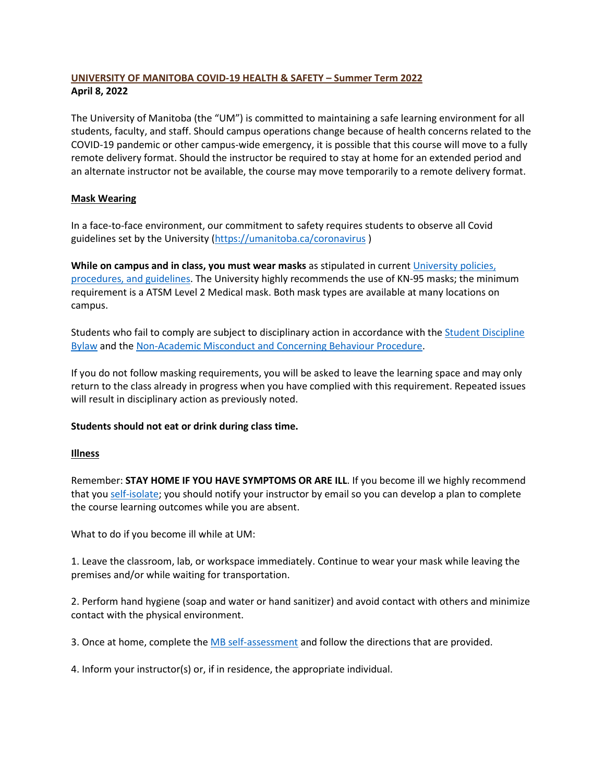# **UNIVERSITY OF MANITOBA COVID-19 HEALTH & SAFETY – Summer Term 2022 April 8, 2022**

The University of Manitoba (the "UM") is committed to maintaining a safe learning environment for all students, faculty, and staff. Should campus operations change because of health concerns related to the COVID-19 pandemic or other campus-wide emergency, it is possible that this course will move to a fully remote delivery format. Should the instructor be required to stay at home for an extended period and an alternate instructor not be available, the course may move temporarily to a remote delivery format.

## **Mask Wearing**

In a face-to-face environment, our commitment to safety requires students to observe all Covid guidelines set by the University [\(https://umanitoba.ca/coronavirus](https://umanitoba.ca/coronavirus) )

**While on campus and in class, you must wear masks** as stipulated in current [University policies,](https://umanitoba.ca/coronavirus)  [procedures, and guidelines.](https://umanitoba.ca/coronavirus) The University highly recommends the use of KN-95 masks; the minimum requirement is a ATSM Level 2 Medical mask. Both mask types are available at many locations on campus.

Students who fail to comply are subject to disciplinary action in accordance with the [Student Discipline](https://umanitoba.ca/governance/governing-documents-students#student-discipline)  [Bylaw](https://umanitoba.ca/governance/governing-documents-students#student-discipline) and the [Non-Academic Misconduct and Concerning Behaviour Procedure.](https://umanitoba.ca/governance/governing-documents-students#student-discipline)

If you do not follow masking requirements, you will be asked to leave the learning space and may only return to the class already in progress when you have complied with this requirement. Repeated issues will result in disciplinary action as previously noted.

#### **Students should not eat or drink during class time.**

#### **Illness**

Remember: **STAY HOME IF YOU HAVE SYMPTOMS OR ARE ILL**. If you become ill we highly recommend that you [self-isolate;](https://umanitoba.ca/covid-19/health-safety#testing-and-illness) you should notify your instructor by email so you can develop a plan to complete the course learning outcomes while you are absent.

What to do if you become ill while at UM:

1. Leave the classroom, lab, or workspace immediately. Continue to wear your mask while leaving the premises and/or while waiting for transportation.

2. Perform hand hygiene (soap and water or hand sanitizer) and avoid contact with others and minimize contact with the physical environment.

3. Once at home, complete the [MB self-assessment](https://sharedhealthmb.ca/covid19/screening-tool/) and follow the directions that are provided.

4. Inform your instructor(s) or, if in residence, the appropriate individual.